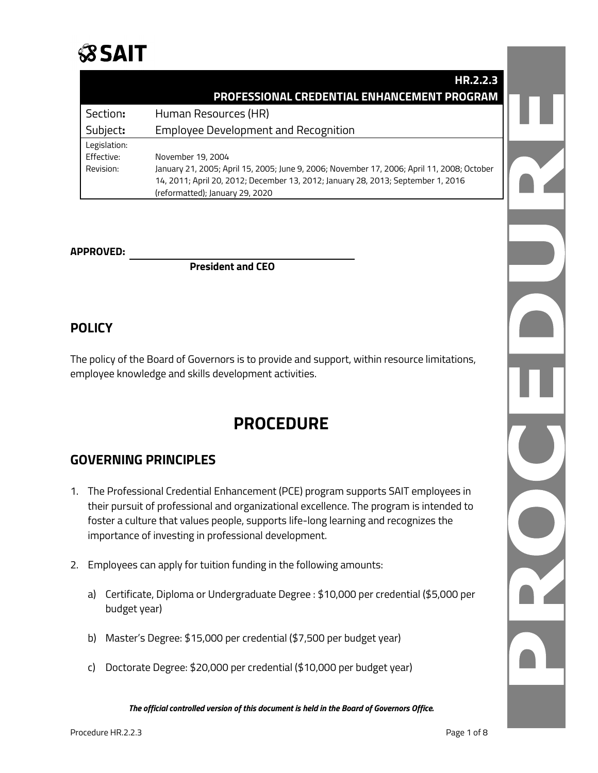

|              | HR.2.2.3                                                                                   |  |
|--------------|--------------------------------------------------------------------------------------------|--|
|              | PROFESSIONAL CREDENTIAL ENHANCEMENT PROGRAM                                                |  |
| Section:     | Human Resources (HR)                                                                       |  |
| Subject:     | <b>Employee Development and Recognition</b>                                                |  |
| Legislation: |                                                                                            |  |
| Effective:   | November 19, 2004                                                                          |  |
| Revision:    | January 21, 2005; April 15, 2005; June 9, 2006; November 17, 2006; April 11, 2008; October |  |
|              | 14, 2011; April 20, 2012; December 13, 2012; January 28, 2013; September 1, 2016           |  |
|              | (reformatted); January 29, 2020                                                            |  |

#### **APPROVED:**

**President and CEO**

## **POLICY**

The policy of the Board of Governors is to provide and support, within resource limitations, employee knowledge and skills development activities.

# **PROCEDURE**

# **GOVERNING PRINCIPLES**

- 1. The Professional Credential Enhancement (PCE) program supports SAIT employees in their pursuit of professional and organizational excellence. The program is intended to foster a culture that values people, supports life-long learning and recognizes the importance of investing in professional development.
- 2. Employees can apply for tuition funding in the following amounts:
	- a) Certificate, Diploma or Undergraduate Degree : \$10,000 per credential (\$5,000 per budget year)
	- b) Master's Degree: \$15,000 per credential (\$7,500 per budget year)
	- c) Doctorate Degree: \$20,000 per credential (\$10,000 per budget year)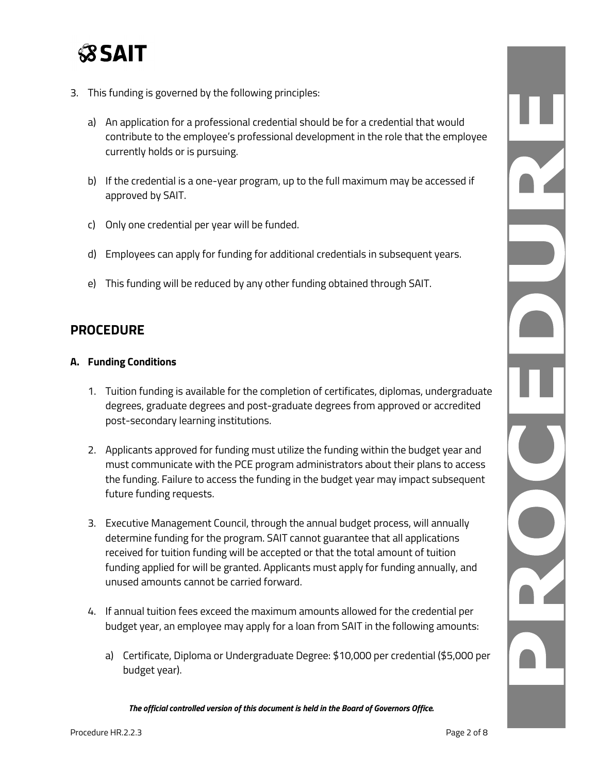

- 3. This funding is governed by the following principles:
	- a) An application for a professional credential should be for a credential that would contribute to the employee's professional development in the role that the employee currently holds or is pursuing.
	- b) If the credential is a one-year program, up to the full maximum may be accessed if approved by SAIT.
	- c) Only one credential per year will be funded.
	- d) Employees can apply for funding for additional credentials in subsequent years.
	- e) This funding will be reduced by any other funding obtained through SAIT.

## **PROCEDURE**

## **A. Funding Conditions**

- 1. Tuition funding is available for the completion of certificates, diplomas, undergraduate degrees, graduate degrees and post-graduate degrees from approved or accredited post-secondary learning institutions.
- 2. Applicants approved for funding must utilize the funding within the budget year and must communicate with the PCE program administrators about their plans to access the funding. Failure to access the funding in the budget year may impact subsequent future funding requests.
- 3. Executive Management Council, through the annual budget process, will annually determine funding for the program. SAIT cannot guarantee that all applications received for tuition funding will be accepted or that the total amount of tuition funding applied for will be granted. Applicants must apply for funding annually, and unused amounts cannot be carried forward.
- 4. If annual tuition fees exceed the maximum amounts allowed for the credential per budget year, an employee may apply for a loan from SAIT in the following amounts:
	- a) Certificate, Diploma or Undergraduate Degree: \$10,000 per credential (\$5,000 per budget year).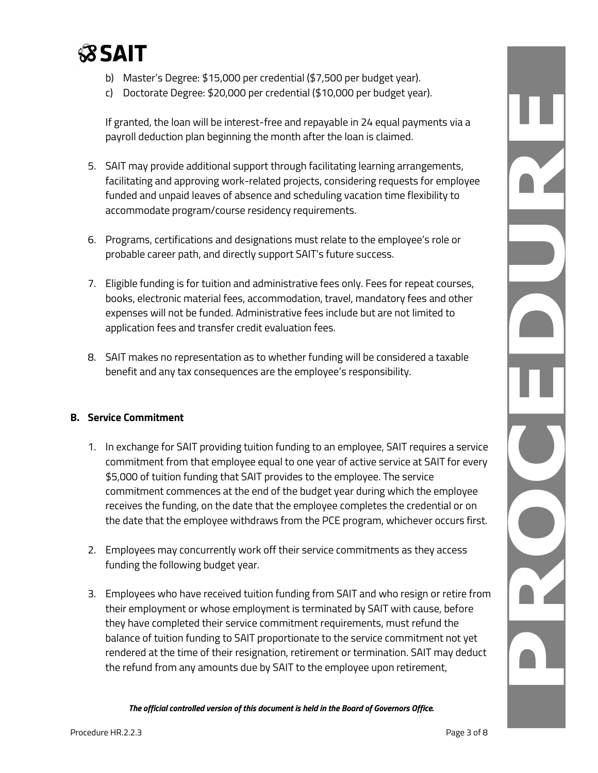

- b) Master's Degree: \$15,000 per credential (\$7,500 per budget year).
- c) Doctorate Degree: \$20,000 per credential (\$10,000 per budget year).

If granted, the loan will be interest-free and repayable in 24 equal payments via a payroll deduction plan beginning the month after the loan is claimed.

- 5. SAIT may provide additional support through facilitating learning arrangements, facilitating and approving work-related projects, considering requests for employee funded and unpaid leaves of absence and scheduling vacation time flexibility to accommodate program/course residency requirements.
- 6. Programs, certifications and designations must relate to the employee's role or probable career path, and directly support SAIT's future success.
- 7. Eligible funding is for tuition and administrative fees only. Fees for repeat courses, books, electronic material fees, accommodation, travel, mandatory fees and other expenses will not be funded. Administrative fees include but are not limited to application fees and transfer credit evaluation fees.
- 8. SAIT makes no representation as to whether funding will be considered a taxable benefit and any tax consequences are the employee's responsibility.

## **B. Service Commitment**

- 1. In exchange for SAIT providing tuition funding to an employee, SAIT requires a service commitment from that employee equal to one year of active service at SAIT for every \$5,000 of tuition funding that SAIT provides to the employee. The service commitment commences at the end of the budget year during which the employee receives the funding, on the date that the employee completes the credential or on the date that the employee withdraws from the PCE program, whichever occurs first.
- 2. Employees may concurrently work off their service commitments as they access funding the following budget year.
- 3. Employees who have received tuition funding from SAIT and who resign or retire from their employment or whose employment is terminated by SAIT with cause, before they have completed their service commitment requirements, must refund the balance of tuition funding to SAIT proportionate to the service commitment not yet rendered at the time of their resignation, retirement or termination. SAIT may deduct the refund from any amounts due by SAIT to the employee upon retirement,

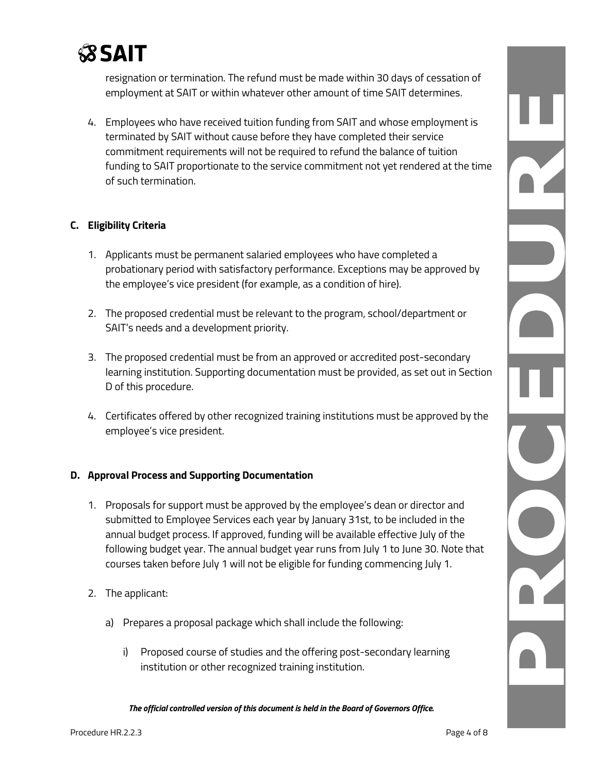

resignation or termination. The refund must be made within 30 days of cessation of employment at SAIT or within whatever other amount of time SAIT determines.

4. Employees who have received tuition funding from SAIT and whose employment is terminated by SAIT without cause before they have completed their service commitment requirements will not be required to refund the balance of tuition funding to SAIT proportionate to the service commitment not yet rendered at the time of such termination.

## **C. Eligibility Criteria**

- 1. Applicants must be permanent salaried employees who have completed a probationary period with satisfactory performance. Exceptions may be approved by the employee's vice president (for example, as a condition of hire).
- 2. The proposed credential must be relevant to the program, school/department or SAIT's needs and a development priority.
- 3. The proposed credential must be from an approved or accredited post-secondary learning institution. Supporting documentation must be provided, as set out in Section D of this procedure.
- 4. Certificates offered by other recognized training institutions must be approved by the employee's vice president.

## **D. Approval Process and Supporting Documentation**

- 1. Proposals for support must be approved by the employee's dean or director and submitted to Employee Services each year by January 31st, to be included in the annual budget process. If approved, funding will be available effective July of the following budget year. The annual budget year runs from July 1 to June 30. Note that courses taken before July 1 will not be eligible for funding commencing July 1.
- 2. The applicant:
	- a) Prepares a proposal package which shall include the following:
		- i) Proposed course of studies and the offering post-secondary learning institution or other recognized training institution.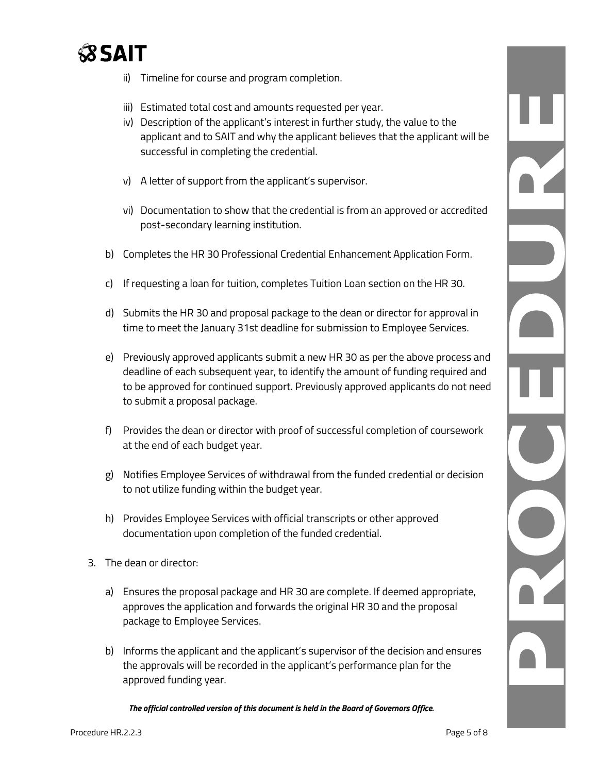

- ii) Timeline for course and program completion.
- iii) Estimated total cost and amounts requested per year.
- iv) Description of the applicant's interest in further study, the value to the applicant and to SAIT and why the applicant believes that the applicant will be successful in completing the credential.
- v) A letter of support from the applicant's supervisor.
- vi) Documentation to show that the credential is from an approved or accredited post-secondary learning institution.
- b) Completes the HR 30 Professional Credential Enhancement Application Form.
- c) If requesting a loan for tuition, completes Tuition Loan section on the HR 30.
- d) Submits the HR 30 and proposal package to the dean or director for approval in time to meet the January 31st deadline for submission to Employee Services.
- e) Previously approved applicants submit a new HR 30 as per the above process and deadline of each subsequent year, to identify the amount of funding required and to be approved for continued support. Previously approved applicants do not need to submit a proposal package.
- f) Provides the dean or director with proof of successful completion of coursework at the end of each budget year.
- g) Notifies Employee Services of withdrawal from the funded credential or decision to not utilize funding within the budget year.
- h) Provides Employee Services with official transcripts or other approved documentation upon completion of the funded credential.
- 3. The dean or director:
	- a) Ensures the proposal package and HR 30 are complete. If deemed appropriate, approves the application and forwards the original HR 30 and the proposal package to Employee Services.
	- b) Informs the applicant and the applicant's supervisor of the decision and ensures the approvals will be recorded in the applicant's performance plan for the approved funding year.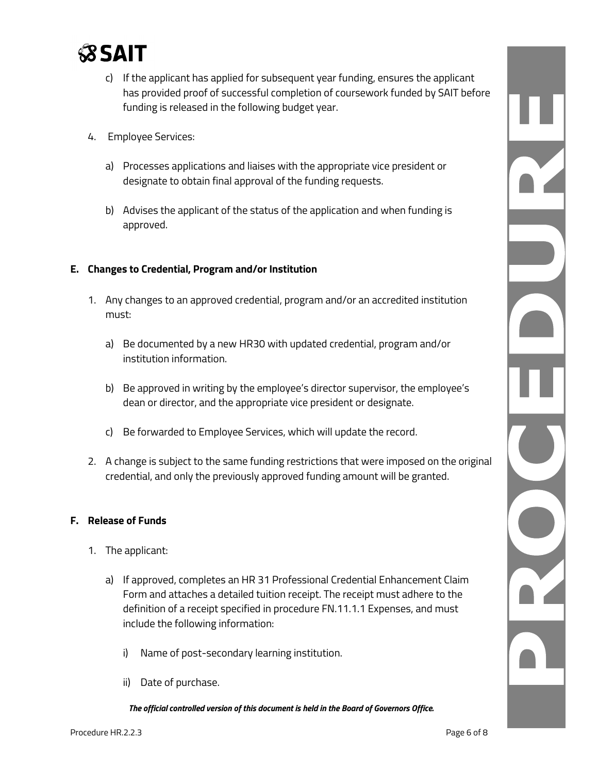

- c) If the applicant has applied for subsequent year funding, ensures the applicant has provided proof of successful completion of coursework funded by SAIT before funding is released in the following budget year.
- 4. Employee Services:
	- a) Processes applications and liaises with the appropriate vice president or designate to obtain final approval of the funding requests.
	- b) Advises the applicant of the status of the application and when funding is approved.

#### **E. Changes to Credential, Program and/or Institution**

- 1. Any changes to an approved credential, program and/or an accredited institution must:
	- a) Be documented by a new HR30 with updated credential, program and/or institution information.
	- b) Be approved in writing by the employee's director supervisor, the employee's dean or director, and the appropriate vice president or designate.
	- c) Be forwarded to Employee Services, which will update the record.
- 2. A change is subject to the same funding restrictions that were imposed on the original credential, and only the previously approved funding amount will be granted.

#### **F. Release of Funds**

- 1. The applicant:
	- a) If approved, completes an HR 31 Professional Credential Enhancement Claim Form and attaches a detailed tuition receipt. The receipt must adhere to the definition of a receipt specified in procedure FN.11.1.1 Expenses, and must include the following information:
		- i) Name of post-secondary learning institution.
		- ii) Date of purchase.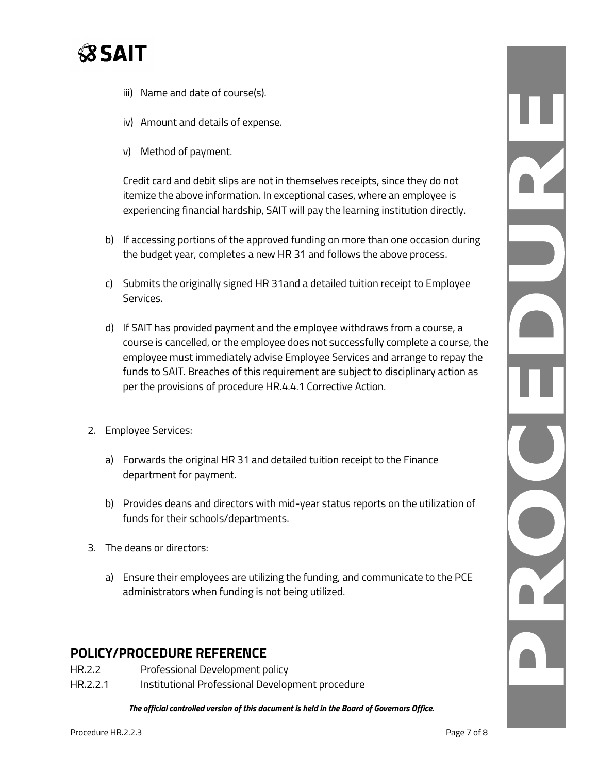

- iii) Name and date of course(s).
- iv) Amount and details of expense.
- v) Method of payment.

Credit card and debit slips are not in themselves receipts, since they do not itemize the above information. In exceptional cases, where an employee is experiencing financial hardship, SAIT will pay the learning institution directly.

- b) If accessing portions of the approved funding on more than one occasion during the budget year, completes a new HR 31 and follows the above process.
- c) Submits the originally signed HR 31and a detailed tuition receipt to Employee Services.
- d) If SAIT has provided payment and the employee withdraws from a course, a course is cancelled, or the employee does not successfully complete a course, the employee must immediately advise Employee Services and arrange to repay the funds to SAIT. Breaches of this requirement are subject to disciplinary action as per the provisions of procedure HR.4.4.1 Corrective Action.
- 2. Employee Services:
	- a) Forwards the original HR 31 and detailed tuition receipt to the Finance department for payment.
	- b) Provides deans and directors with mid-year status reports on the utilization of funds for their schools/departments.
- 3. The deans or directors:
	- a) Ensure their employees are utilizing the funding, and communicate to the PCE administrators when funding is not being utilized.

# **POLICY/PROCEDURE REFERENCE**

- HR.2.2 Professional Development policy
- HR.2.2.1 Institutional Professional Development procedure